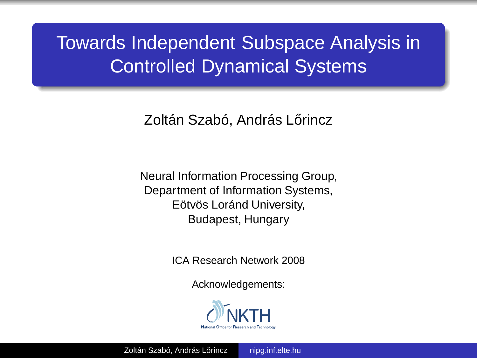# Towards Independent Subspace Analysis in Controlled Dynamical Systems

Zoltán Szabó, András Lőrincz

Neural Information Processing Group, Department of Information Systems, Eötvös Loránd University, Budapest, Hungary

ICA Research Network 2008

Acknowledgements:

<span id="page-0-0"></span>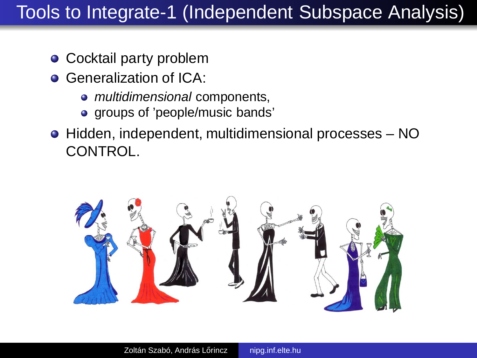# Tools to Integrate-1 (Independent Subspace Analysis)

- Cocktail party problem
- **Generalization of ICA:** 
	- multidimensional components,
	- groups of 'people/music bands'
- Hidden, independent, multidimensional processes NO CONTROL.

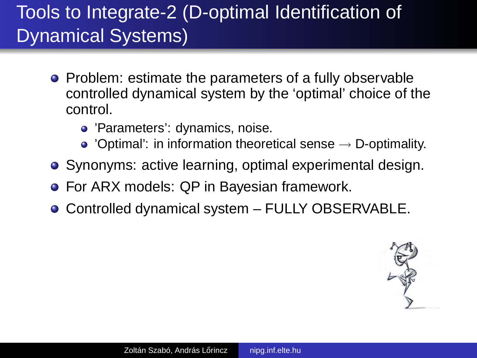# Tools to Integrate-2 (D-optimal Identification of Dynamical Systems)

- Problem: estimate the parameters of a fully observable controlled dynamical system by the 'optimal' choice of the control.
	- 'Parameters': dynamics, noise.
	- $\bullet$  'Optimal': in information theoretical sense  $\rightarrow$  D-optimality.
- Synonyms: active learning, optimal experimental design.
- For ARX models: QP in Bayesian framework.
- Controlled dynamical system FULLY OBSERVABLE.

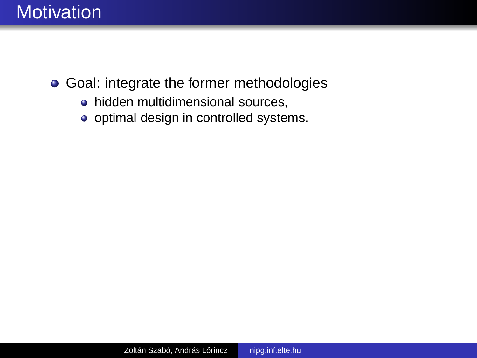

- **Goal: integrate the former methodologies** 
	- hidden multidimensional sources,
	- optimal design in controlled systems.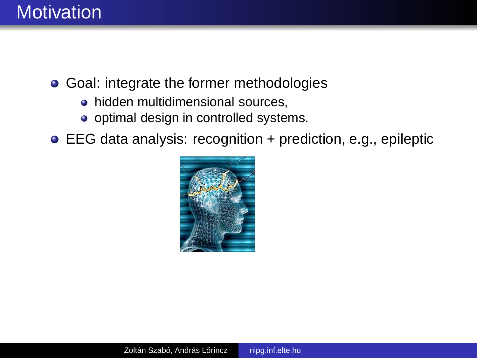

- Goal: integrate the former methodologies
	- hidden multidimensional sources,
	- optimal design in controlled systems.
- EEG data analysis: recognition + prediction, e.g., epileptic

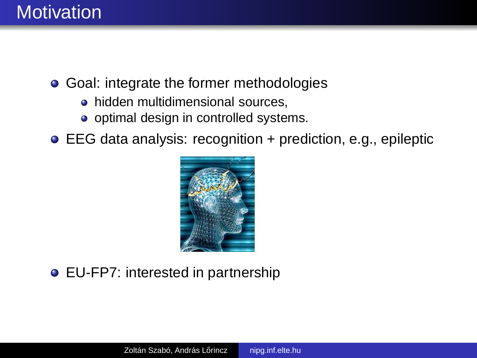

- Goal: integrate the former methodologies
	- hidden multidimensional sources,
	- optimal design in controlled systems.
- EEG data analysis: recognition + prediction, e.g., epileptic



EU-FP7: interested in partnership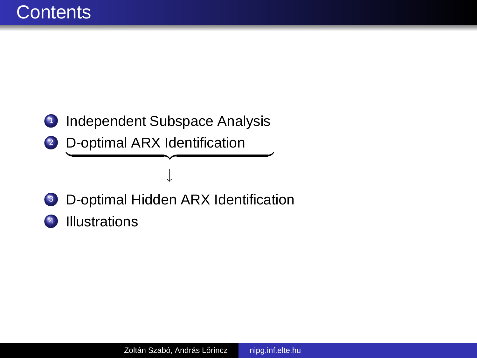### **1** Independent Subspace Analysis

2 D-optimal ARX Identification

### ↓ <sup>3</sup> D-optimal Hidden ARX Identification

 $\overbrace{\hspace{27mm}}$ 

<sup>4</sup> Illustrations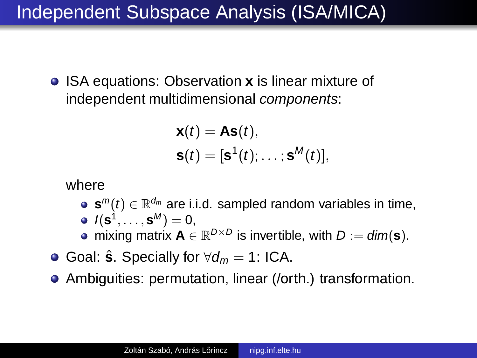# Independent Subspace Analysis (ISA/MICA)

**• ISA equations: Observation <b>x** is linear mixture of independent multidimensional components:

$$
\mathbf{x}(t) = \mathbf{As}(t),
$$
  

$$
\mathbf{s}(t) = [\mathbf{s}^1(t); \dots; \mathbf{s}^M(t)],
$$

where

- $\mathbf{s}^m(t) \in \mathbb{R}^{d_m}$  are i.i.d. sampled random variables in time,  $I(\mathbf{s}^1, \dots, \mathbf{s}^M) = 0,$
- mixing matrix  $A \in \mathbb{R}^{D \times D}$  is invertible, with  $D := dim(s)$ .
- $\bullet$  Goal:  $\hat{\mathbf{s}}$ . Specially for  $\forall d_m = 1$ : ICA.
- Ambiguities: permutation, linear (/orth.) transformation.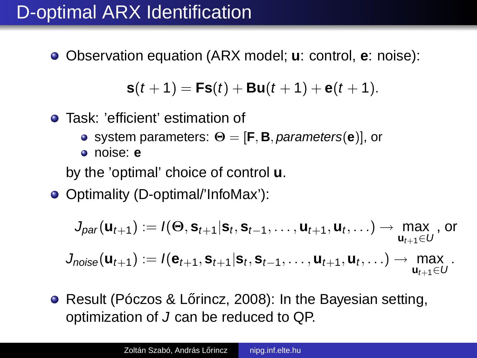# D-optimal ARX Identification

Observation equation (ARX model; **u**: control, **e**: noise):

$$
s(t+1) = Fs(t) + Bu(t+1) + e(t+1).
$$

- Task: 'efficient' estimation of
	- system parameters: Θ = [**F**, **B**, parameters(**e**)], or
	- noise: **e**

by the 'optimal' choice of control **u**.

● Optimality (D-optimal/'InfoMax'):

$$
J_{\textit{par}}(\mathbf{u}_{t+1}):=I(\Theta,\mathbf{s}_{t+1}|\mathbf{s}_t,\mathbf{s}_{t-1},\ldots,\mathbf{u}_{t+1},\mathbf{u}_t,\ldots)\rightarrow \max_{\mathbf{u}_{t+1}\in U}\text{, or}
$$

$$
J_{noise}(\boldsymbol{u}_{t+1}) := I(\boldsymbol{e}_{t+1}, \boldsymbol{s}_{t+1} | \boldsymbol{s}_{t}, \boldsymbol{s}_{t-1}, \ldots, \boldsymbol{u}_{t+1}, \boldsymbol{u}_{t}, \ldots) \rightarrow \max_{\boldsymbol{u}_{t+1} \in U}.
$$

● Result (Póczos & Lőrincz, 2008): In the Bavesian setting. optimization of J can be reduced to QP.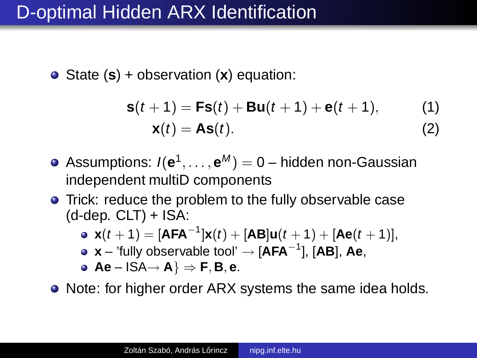# D-optimal Hidden ARX Identification

State (**s**) + observation (**x**) equation:

$$
\mathbf{s}(t+1) = \mathbf{F}\mathbf{s}(t) + \mathbf{B}\mathbf{u}(t+1) + \mathbf{e}(t+1),
$$
 (1)  

$$
\mathbf{x}(t) = \mathbf{A}\mathbf{s}(t).
$$
 (2)

- Assumptions: I(**e** 1 , . . . , **e** <sup>M</sup> ) = 0 hidden non-Gaussian independent multiD components
- Trick: reduce the problem to the fully observable case  $(d-dep. CLT) + ISA$ :

• 
$$
\mathbf{x}(t+1) = [\mathbf{AFA}^{-1}]\mathbf{x}(t) + [\mathbf{AB}]\mathbf{u}(t+1) + [\mathbf{Ae}(t+1)],
$$

**x** – 'fully observable tool' → [**AFA**<sup>−</sup><sup>1</sup> ], [**AB**], **Ae**,

• 
$$
Ae - ISA \rightarrow A
$$
  $\Rightarrow$  **F**, **B**, **e**.

• Note: for higher order ARX systems the same idea holds.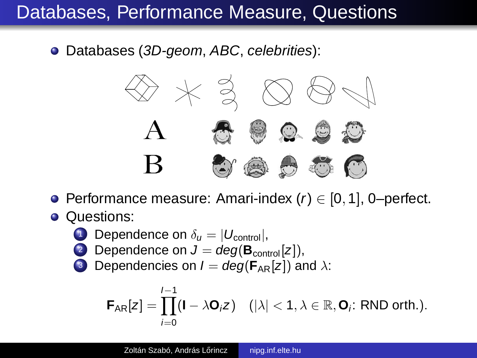# Databases, Performance Measure, Questions

Databases (3D-geom, ABC, celebrities):



- $\bullet$  Performance measure: Amari-index (r) ∈ [0, 1], 0–perfect.
- Questions:
	- 1 Dependence on  $\delta_{\mu} = |U_{\text{control}}|$ ,
	- 2 Dependence on  $J = deg(B_{control}[z]),$
	- **3** Dependencies on  $I = deg(F_{AR}[z])$  and  $\lambda$ :

$$
\textbf{F}_{AR}[z] = \prod_{i=0}^{I-1} (I - \lambda \textbf{O}_i z) \quad (|\lambda| < 1, \lambda \in \mathbb{R}, \textbf{O}_i \text{: RND orth.}).
$$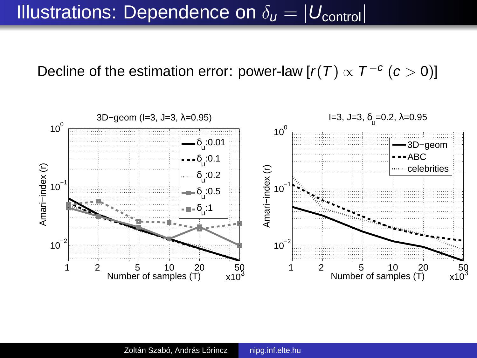# Illustrations: Dependence on  $\delta_u = |U_{\text{control}}|$

Decline of the estimation error: power-law [ $r(T) \propto T^{-c}$  ( $c > 0$ )]

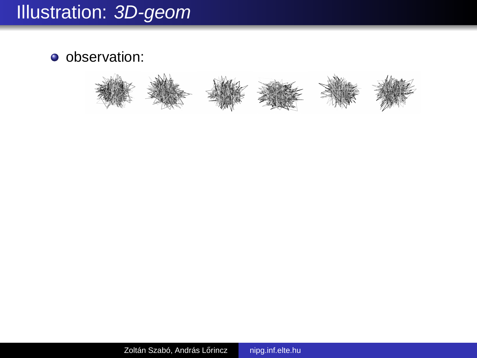# Illustration: 3D-geom

**o** observation:

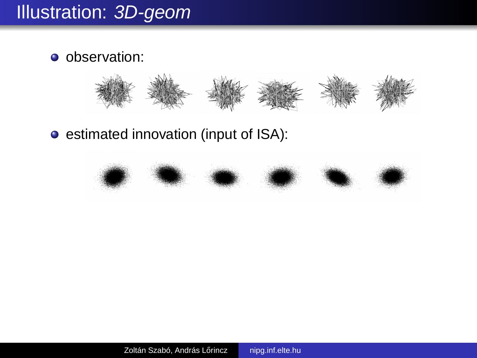# Illustration: 3D-geom

**o** observation:



**e** estimated innovation (input of ISA):

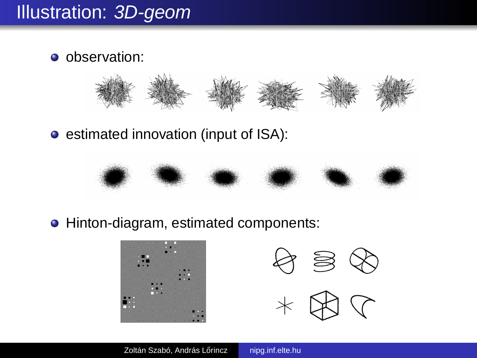### Illustration: 3D-geom

**o** observation:



**•** estimated innovation (input of ISA):



• Hinton-diagram, estimated components:



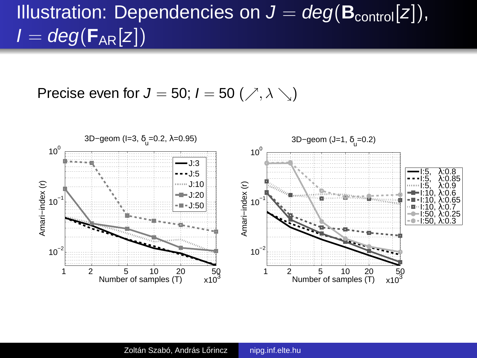# Illustration: Dependencies on  $J = deg(B_{control}[z]),$  $I = deg(F_{AR}[z])$

Precise even for  $J = 50$ ;  $I = 50$  ( $\nearrow$ ,  $\lambda \searrow$ )

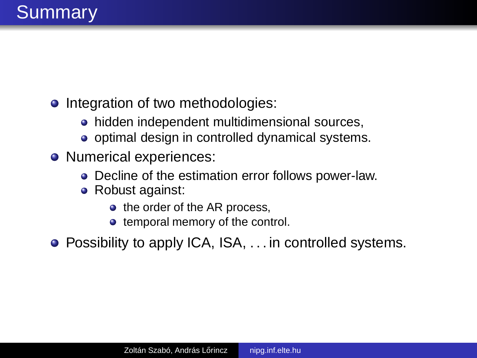- Integration of two methodologies:
	- hidden independent multidimensional sources,
	- optimal design in controlled dynamical systems.
- Numerical experiences:
	- Decline of the estimation error follows power-law.
	- Robust against:
		- the order of the AR process,
		- temporal memory of the control.
- Possibility to apply ICA, ISA, . . . in controlled systems.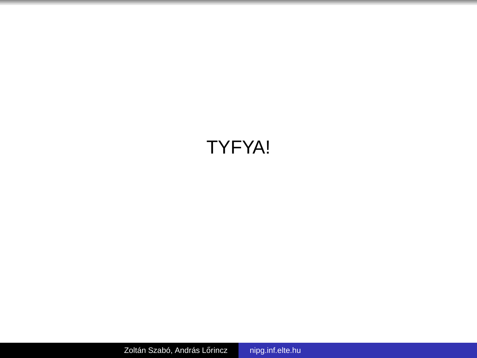# TYFYA!

Zoltán Szabó, András Lőrincz [nipg.inf.elte.hu](#page-0-0)